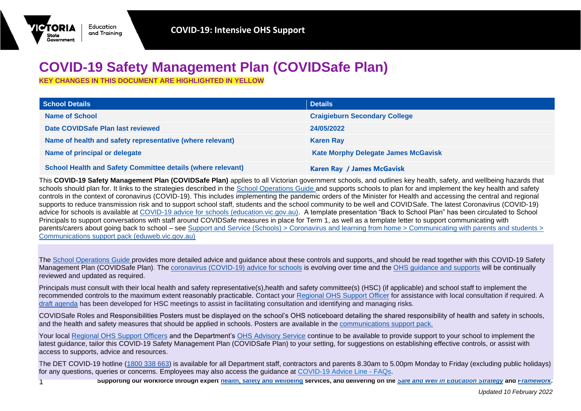## **COVID-19 Safety Management Plan (COVIDSafe Plan)**

**KEY CHANGES IN THIS DOCUMENT ARE HIGHLIGHTED IN YELLOW**

Education and Trainina

State Government

1

| <b>School Details</b>                                              | <b>Details</b>                             |
|--------------------------------------------------------------------|--------------------------------------------|
| <b>Name of School</b>                                              | <b>Craigieburn Secondary College</b>       |
| Date COVIDSafe Plan last reviewed                                  | 24/05/2022                                 |
| Name of health and safety representative (where relevant)          | <b>Karen Ray</b>                           |
| Name of principal or delegate                                      | <b>Kate Morphy Delegate James McGavisk</b> |
| <b>School Health and Safety Committee details (where relevant)</b> | <b>Karen Ray / James McGavisk</b>          |

This **COVID-19 Safety Management Plan (COVIDSafe Plan)** applies to all Victorian government schools, and outlines key health, safety, and wellbeing hazards that schools should plan for. It links to the strategies described in the [School Operations Guide](https://edugate.eduweb.vic.gov.au/sites/i/_layouts/15/WopiFrame.aspx?sourcedoc=/sites/i/Shared%20Documents/Coronavirus/School%20Operations%20Guide/school-operations-guide.docx&action=default) and supports schools to plan for and implement the key health and safety controls in the context of coronavirus (COVID-19). This includes implementing the pandemic orders of the Minister for Health and accessing the central and regional supports to reduce transmission risk and to support school staff, students and the school community to be well and COVIDSafe. The latest Coronavirus (COVID-19) advice for schools is available at [COVID-19 advice for schools \(education.vic.gov.au\).](https://www.education.vic.gov.au/school/Pages/coronavirus-advice-schools.aspx) A template presentation "Back to School Plan" has been circulated to School Principals to support conversations with staff around COVIDSafe measures in place for Term 1, as well as a template letter to support communicating with parents/carers about going back to school – see [Support and Service \(Schools\) > Coronavirus and learning from home > Communicating with parents and students >](https://edugate.eduweb.vic.gov.au/sites/i/Pages/School.aspx?utm_source=email+marketing+Mailigen&utm_campaign=EmergencySchools27Jan2022&utm_medium=email#/app/content/3284/support_and_service_%28schools%29%252Fcoronavirus_and_learning_from_home%252Fcommunicating_with_parents_and_students%252Fcommunications_support_pack)  [Communications support pack \(eduweb.vic.gov.au\)](https://edugate.eduweb.vic.gov.au/sites/i/Pages/School.aspx?utm_source=email+marketing+Mailigen&utm_campaign=EmergencySchools27Jan2022&utm_medium=email#/app/content/3284/support_and_service_%28schools%29%252Fcoronavirus_and_learning_from_home%252Fcommunicating_with_parents_and_students%252Fcommunications_support_pack)

The [School Operations Guide](https://edugate.eduweb.vic.gov.au/sites/i/Pages/school.aspx#/app/content/3336/support_and_service_(schools)%252Fcoronavirus_and_learning_from_home%252Fschool_operations%252Fschool_operations_guide) provides more detailed advice and guidance about these controls and supports, and should be read together with this COVID-19 Safety Management Plan (COVIDSafe Plan). The [coronavirus \(COVID-19\) advice for schools](https://www.education.vic.gov.au/school/Pages/coronavirus-advice-schools.aspx) is evolving over time and the [OHS guidance and supports](https://www2.education.vic.gov.au/pal/occupational-health-and-safety-management-system-ohsms/guidance/covid-19-employee-health) will be continually reviewed and updated as required.

Principals must consult with their local health and safety representative(s),health and safety committee(s) (HSC) (if applicable) and school staff to implement the recommended controls to the maximum extent reasonably practicable. Contact your [Regional OHS Support Officer](https://www2.education.vic.gov.au/pal/occupational-health-and-safety-management-system-ohsms/guidance/useful-contacts-schools) for assistance with local consultation if required. A [draft agenda](https://www.education.vic.gov.au/hrweb/Documents/OHS/HealthandSafetyCommitteMeetingAgenda-COVIDandreturntoschool.docx) has been developed for HSC meetings to assist in facilitating consultation and identifying and managing risks.

COVIDSafe Roles and Responsibilities Posters must be displayed on the school's OHS noticeboard detailing the shared responsibility of health and safety in schools, and the health and safety measures that should be applied in schools. Posters are available in the [communications support pack.](https://edugate.eduweb.vic.gov.au/sites/i/Pages/production.aspx#/app/content/3284/)

Your local [Regional OHS Support Officers](https://www2.education.vic.gov.au/pal/occupational-health-and-safety-management-system-ohsms/guidance/useful-contacts-schools) and the Department's [OHS Advisory Service](mailto:safety@education.vic.gov.au) continue to be available to provide support to your school to implement the latest guidance, tailor this COVID-19 Safety Management Plan (COVIDSafe Plan) to your setting, for suggestions on establishing effective controls, or assist with access to supports, advice and resources.

The DET COVID-19 hotline [\(1800 338 663\)](tel:1800338663) is available for all Department staff, contractors and parents 8.30am to 5.00pm Monday to Friday (excluding public holidays) for any questions, queries or concerns. Employees may also access the guidance at [COVID-19 Advice Line -](https://edugate.eduweb.vic.gov.au/sites/source/SitePages/COVID-19_FAQ.aspx) FAQs.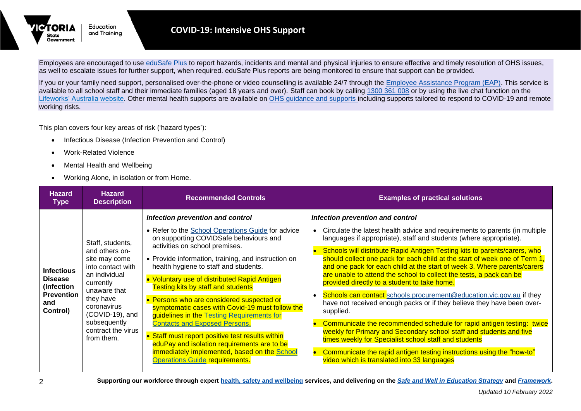

Education and Trainina

Employees are encouraged to use [eduSafe](https://services.educationapps.vic.gov.au/edusafeplus) Plus to report hazards, incidents and mental and physical injuries to ensure effective and timely resolution of OHS issues, as well to escalate issues for further support, when required. eduSafe Plus reports are being monitored to ensure that support can be provided.

If you or your family need support, personalised over-the-phone or video counselling is available 24/7 through the [Employee Assistance Program \(EAP\).](https://www2.education.vic.gov.au/pal/occupational-health-and-safety-management-system-ohsms/guidance/expert-supports) This service is available to all school staff and their immediate families (aged 18 years and over). Staff can book by calling [1300 361 008](tel:1300361008) or by using the live chat function on the [Lifeworks' Australia website.](https://www.lifeworks.com/au/) Other mental health supports are available on [OHS guidance and supports](https://www2.education.vic.gov.au/pal/occupational-health-and-safety-management-system-ohsms/guidance/covid-19-employee-health) including supports tailored to respond to COVID-19 and remote working risks.

This plan covers four key areas of risk ('hazard types'):

- Infectious Disease (Infection Prevention and Control)
- Work-Related Violence
- Mental Health and Wellbeing
- Working Alone, in isolation or from Home.

| <b>Hazard</b><br><b>Type</b>                                                              | <b>Hazard</b><br><b>Description</b>                                                                                                                                                                                       | <b>Recommended Controls</b>                                                                                                                                                                                                                                                                                                                                                                                                                                                                                                                                                                                                                                                                                                                      | <b>Examples of practical solutions</b>                                                                                                                                                                                                                                                                                                                                                                                                                                                                                                                                                                                                                                                                                                                                                                                                                                                                                                                                                                                                                                  |
|-------------------------------------------------------------------------------------------|---------------------------------------------------------------------------------------------------------------------------------------------------------------------------------------------------------------------------|--------------------------------------------------------------------------------------------------------------------------------------------------------------------------------------------------------------------------------------------------------------------------------------------------------------------------------------------------------------------------------------------------------------------------------------------------------------------------------------------------------------------------------------------------------------------------------------------------------------------------------------------------------------------------------------------------------------------------------------------------|-------------------------------------------------------------------------------------------------------------------------------------------------------------------------------------------------------------------------------------------------------------------------------------------------------------------------------------------------------------------------------------------------------------------------------------------------------------------------------------------------------------------------------------------------------------------------------------------------------------------------------------------------------------------------------------------------------------------------------------------------------------------------------------------------------------------------------------------------------------------------------------------------------------------------------------------------------------------------------------------------------------------------------------------------------------------------|
| <b>Infectious</b><br><b>Disease</b><br>(Infection<br><b>Prevention</b><br>and<br>Control) | Staff, students,<br>and others on-<br>site may come<br>into contact with<br>an individual<br>currently<br>unaware that<br>they have<br>coronavirus<br>(COVID-19), and<br>subsequently<br>contract the virus<br>from them. | Infection prevention and control<br>• Refer to the School Operations Guide for advice<br>on supporting COVIDSafe behaviours and<br>activities on school premises.<br>• Provide information, training, and instruction on<br>health hygiene to staff and students.<br>• Voluntary use of distributed Rapid Antigen<br><b>Testing kits by staff and students</b><br>• Persons who are considered suspected or<br>symptomatic cases with Covid-19 must follow the<br>guidelines in the Testing Requirements for<br><b>Contacts and Exposed Persons.</b><br>• Staff must report positive test results within<br>eduPay and isolation requirements are to be<br>immediately implemented, based on the School<br><b>Operations Guide requirements.</b> | Infection prevention and control<br>Circulate the latest health advice and requirements to parents (in multiple<br>languages if appropriate), staff and students (where appropriate).<br>Schools will distribute Rapid Antigen Testing kits to parents/carers, who<br>should collect one pack for each child at the start of week one of Term 1,<br>and one pack for each child at the start of week 3. Where parents/carers<br>are unable to attend the school to collect the tests, a pack can be<br>provided directly to a student to take home.<br><b>Schools can contact</b> schools procurement@education vic.gov.au if they<br>$\bullet$<br>have not received enough packs or if they believe they have been over-<br>supplied.<br>Communicate the recommended schedule for rapid antigen testing: twice<br>weekly for Primary and Secondary school staff and students and five<br>times weekly for Specialist school staff and students<br>Communicate the rapid antigen testing instructions using the "how-to"<br>video which is translated into 33 languages |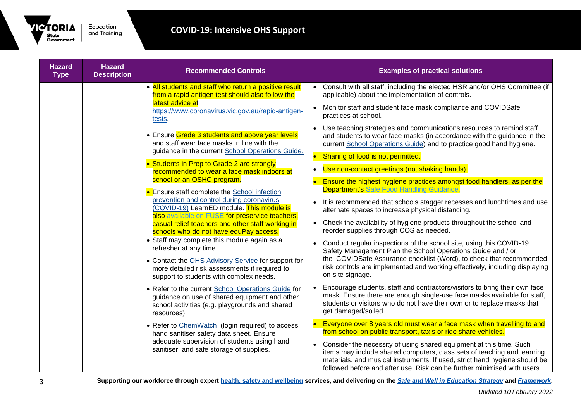

| <b>Hazard</b><br><b>Type</b> | <b>Hazard</b><br><b>Description</b> | <b>Recommended Controls</b>                                                                                                                                          | <b>Examples of practical solutions</b>                                                                                                                                                                                                                                                                  |
|------------------------------|-------------------------------------|----------------------------------------------------------------------------------------------------------------------------------------------------------------------|---------------------------------------------------------------------------------------------------------------------------------------------------------------------------------------------------------------------------------------------------------------------------------------------------------|
|                              |                                     | • All students and staff who return a positive result<br>from a rapid antigen test should also follow the                                                            | Consult with all staff, including the elected HSR and/or OHS Committee (if<br>$\bullet$<br>applicable) about the implementation of controls.                                                                                                                                                            |
|                              |                                     | latest advice at<br>https://www.coronavirus.vic.gov.au/rapid-antigen-<br>tests.                                                                                      | Monitor staff and student face mask compliance and COVIDSafe<br>practices at school.                                                                                                                                                                                                                    |
|                              |                                     | • Ensure Grade 3 students and above year levels<br>and staff wear face masks in line with the                                                                        | Use teaching strategies and communications resources to remind staff<br>$\bullet$<br>and students to wear face masks (in accordance with the guidance in the<br>current School Operations Guide) and to practice good hand hygiene.                                                                     |
|                              |                                     | guidance in the current School Operations Guide.                                                                                                                     | Sharing of food is not permitted.                                                                                                                                                                                                                                                                       |
|                              |                                     | • Students in Prep to Grade 2 are strongly<br>recommended to wear a face mask indoors at                                                                             | Use non-contact greetings (not shaking hands).                                                                                                                                                                                                                                                          |
|                              |                                     | school or an OSHC program.<br>• Ensure staff complete the School infection                                                                                           | Ensure the highest hygiene practices amongst food handlers, as per the<br><b>Department's Safe Food Handling Guidance.</b>                                                                                                                                                                              |
|                              |                                     | prevention and control during coronavirus<br>(COVID-19) LearnED module. This module is                                                                               | It is recommended that schools stagger recesses and lunchtimes and use<br>alternate spaces to increase physical distancing.                                                                                                                                                                             |
|                              |                                     | also available on FUSE for preservice teachers,<br>casual relief teachers and other staff working in<br>schools who do not have eduPay access.                       | Check the availability of hygiene products throughout the school and<br>reorder supplies through COS as needed.                                                                                                                                                                                         |
|                              |                                     | • Staff may complete this module again as a<br>refresher at any time.                                                                                                | Conduct regular inspections of the school site, using this COVID-19<br>Safety Management Plan the School Operations Guide and / or                                                                                                                                                                      |
|                              |                                     | • Contact the OHS Advisory Service for support for<br>more detailed risk assessments if required to<br>support to students with complex needs.                       | the COVIDSafe Assurance checklist (Word), to check that recommended<br>risk controls are implemented and working effectively, including displaying<br>on-site signage.                                                                                                                                  |
|                              |                                     | • Refer to the current School Operations Guide for<br>guidance on use of shared equipment and other<br>school activities (e.g. playgrounds and shared<br>resources). | Encourage students, staff and contractors/visitors to bring their own face<br>mask. Ensure there are enough single-use face masks available for staff,<br>students or visitors who do not have their own or to replace masks that<br>get damaged/soiled.                                                |
|                              |                                     | • Refer to ChemWatch (login required) to access<br>hand sanitiser safety data sheet. Ensure                                                                          | Everyone over 8 years old must wear a face mask when travelling to and<br>from school on public transport, taxis or ride share vehicles.                                                                                                                                                                |
|                              |                                     | adequate supervision of students using hand<br>sanitiser, and safe storage of supplies.                                                                              | Consider the necessity of using shared equipment at this time. Such<br>items may include shared computers, class sets of teaching and learning<br>materials, and musical instruments. If used, strict hand hygiene should be<br>followed before and after use. Risk can be further minimised with users |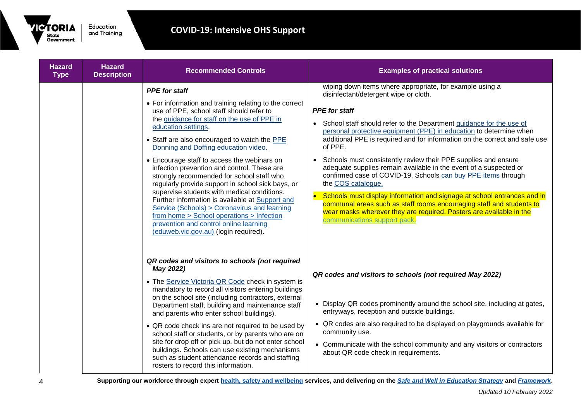

| <b>Hazard</b><br><b>Type</b> | <b>Hazard</b><br><b>Description</b> | <b>Recommended Controls</b>                                                                                                                                                                                                                                                                                                                                                                                                                                                                                                                                                                                                                                                                                                                                                | <b>Examples of practical solutions</b>                                                                                                                                                                                                                                                                                                                                                                                                                                                                                                                                                                                                                                                                                                                                                                                                                      |
|------------------------------|-------------------------------------|----------------------------------------------------------------------------------------------------------------------------------------------------------------------------------------------------------------------------------------------------------------------------------------------------------------------------------------------------------------------------------------------------------------------------------------------------------------------------------------------------------------------------------------------------------------------------------------------------------------------------------------------------------------------------------------------------------------------------------------------------------------------------|-------------------------------------------------------------------------------------------------------------------------------------------------------------------------------------------------------------------------------------------------------------------------------------------------------------------------------------------------------------------------------------------------------------------------------------------------------------------------------------------------------------------------------------------------------------------------------------------------------------------------------------------------------------------------------------------------------------------------------------------------------------------------------------------------------------------------------------------------------------|
|                              |                                     | <b>PPE</b> for staff<br>• For information and training relating to the correct<br>use of PPE, school staff should refer to<br>the guidance for staff on the use of PPE in<br>education settings.<br>• Staff are also encouraged to watch the PPE<br>Donning and Doffing education video.<br>• Encourage staff to access the webinars on<br>infection prevention and control. These are<br>strongly recommended for school staff who<br>regularly provide support in school sick bays, or<br>supervise students with medical conditions.<br>Further information is available at Support and<br>Service (Schools) > Coronavirus and learning<br>from home > School operations > Infection<br>prevention and control online learning<br>(eduweb.vic.gov.au) (login required). | wiping down items where appropriate, for example using a<br>disinfectant/detergent wipe or cloth.<br><b>PPE</b> for staff<br>• School staff should refer to the Department guidance for the use of<br>personal protective equipment (PPE) in education to determine when<br>additional PPE is required and for information on the correct and safe use<br>of PPE.<br>• Schools must consistently review their PPE supplies and ensure<br>adequate supplies remain available in the event of a suspected or<br>confirmed case of COVID-19. Schools can buy PPE items through<br>the COS catalogue.<br>Schools must display information and signage at school entrances and in<br>communal areas such as staff rooms encouraging staff and students to<br>wear masks wherever they are required. Posters are available in the<br>communications support pack. |
|                              |                                     | QR codes and visitors to schools (not required<br>May 2022)<br>• The Service Victoria QR Code check in system is<br>mandatory to record all visitors entering buildings<br>on the school site (including contractors, external<br>Department staff, building and maintenance staff<br>and parents who enter school buildings).<br>• QR code check ins are not required to be used by<br>school staff or students, or by parents who are on<br>site for drop off or pick up, but do not enter school<br>buildings. Schools can use existing mechanisms<br>such as student attendance records and staffing<br>rosters to record this information.                                                                                                                            | QR codes and visitors to schools (not required May 2022)<br>• Display QR codes prominently around the school site, including at gates,<br>entryways, reception and outside buildings.<br>• QR codes are also required to be displayed on playgrounds available for<br>community use.<br>• Communicate with the school community and any visitors or contractors<br>about QR code check in requirements.                                                                                                                                                                                                                                                                                                                                                                                                                                                     |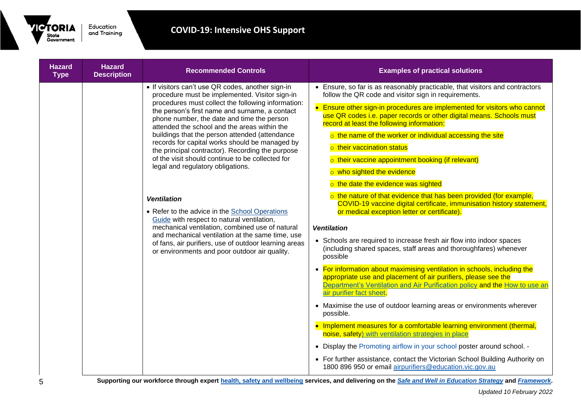

| <b>Hazard</b><br><b>Type</b> | <b>Hazard</b><br><b>Description</b> | <b>Recommended Controls</b>                                                                                                                                                                                                                                                                                                                                                                                                                         | <b>Examples of practical solutions</b>                                                                                                                                                                                                              |  |                                                                                               |
|------------------------------|-------------------------------------|-----------------------------------------------------------------------------------------------------------------------------------------------------------------------------------------------------------------------------------------------------------------------------------------------------------------------------------------------------------------------------------------------------------------------------------------------------|-----------------------------------------------------------------------------------------------------------------------------------------------------------------------------------------------------------------------------------------------------|--|-----------------------------------------------------------------------------------------------|
|                              |                                     | • If visitors can't use QR codes, another sign-in<br>procedure must be implemented. Visitor sign-in                                                                                                                                                                                                                                                                                                                                                 | • Ensure, so far is as reasonably practicable, that visitors and contractors<br>follow the QR code and visitor sign in requirements.                                                                                                                |  |                                                                                               |
|                              |                                     | procedures must collect the following information:<br>the person's first name and surname, a contact<br>phone number, the date and time the person<br>attended the school and the areas within the<br>buildings that the person attended (attendance<br>records for capital works should be managed by<br>the principal contractor). Recording the purpose<br>of the visit should continue to be collected for<br>legal and regulatory obligations. | • Ensure other sign-in procedures are implemented for visitors who cannot<br>use QR codes i.e. paper records or other digital means. Schools must<br>record at least the following information:                                                     |  |                                                                                               |
|                              |                                     |                                                                                                                                                                                                                                                                                                                                                                                                                                                     |                                                                                                                                                                                                                                                     |  | $\circ$ the name of the worker or individual accessing the site<br>o their vaccination status |
|                              |                                     |                                                                                                                                                                                                                                                                                                                                                                                                                                                     | o their vaccine appointment booking (if relevant)<br>o who sighted the evidence                                                                                                                                                                     |  |                                                                                               |
|                              |                                     |                                                                                                                                                                                                                                                                                                                                                                                                                                                     | $\circ$ the date the evidence was sighted                                                                                                                                                                                                           |  |                                                                                               |
|                              |                                     | <b>Ventilation</b><br>• Refer to the advice in the School Operations                                                                                                                                                                                                                                                                                                                                                                                | $\circ$ the nature of that evidence that has been provided (for example,<br>COVID-19 vaccine digital certificate, immunisation history statement,<br>or medical exception letter or certificate).                                                   |  |                                                                                               |
|                              |                                     | Guide with respect to natural ventilation,<br>mechanical ventilation, combined use of natural                                                                                                                                                                                                                                                                                                                                                       | <b>Ventilation</b>                                                                                                                                                                                                                                  |  |                                                                                               |
|                              |                                     | and mechanical ventilation at the same time, use<br>of fans, air purifiers, use of outdoor learning areas<br>or environments and poor outdoor air quality.                                                                                                                                                                                                                                                                                          | • Schools are required to increase fresh air flow into indoor spaces<br>(including shared spaces, staff areas and thoroughfares) whenever<br>possible                                                                                               |  |                                                                                               |
|                              |                                     |                                                                                                                                                                                                                                                                                                                                                                                                                                                     | • For information about maximising ventilation in schools, including the<br>appropriate use and placement of air purifiers, please see the<br>Department's Ventilation and Air Purification policy and the How to use an<br>air purifier fact sheet |  |                                                                                               |
|                              |                                     |                                                                                                                                                                                                                                                                                                                                                                                                                                                     | • Maximise the use of outdoor learning areas or environments wherever<br>possible.                                                                                                                                                                  |  |                                                                                               |
|                              |                                     |                                                                                                                                                                                                                                                                                                                                                                                                                                                     | • Implement measures for a comfortable learning environment (thermal,<br>noise, safety) with ventilation strategies in place                                                                                                                        |  |                                                                                               |
|                              |                                     |                                                                                                                                                                                                                                                                                                                                                                                                                                                     | • Display the Promoting airflow in your school poster around school. -                                                                                                                                                                              |  |                                                                                               |
|                              |                                     |                                                                                                                                                                                                                                                                                                                                                                                                                                                     | • For further assistance, contact the Victorian School Building Authority on<br>1800 896 950 or email airpurifiers@education.vic.gov.au                                                                                                             |  |                                                                                               |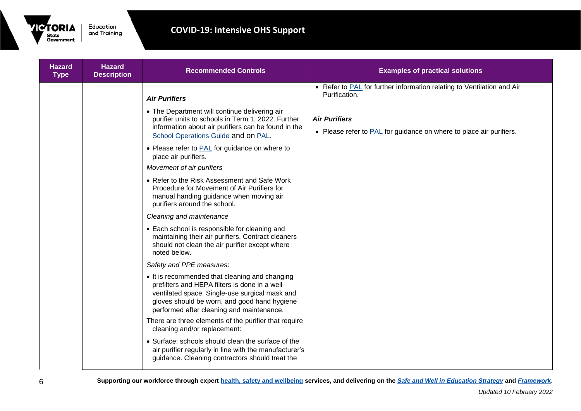

| <b>Hazard</b><br><b>Type</b> | <b>Hazard</b><br><b>Description</b> | <b>Recommended Controls</b>                                                                                                                                                                                                                                                                                                                                                                                                                                                                                                                                                                                                                                                                                                                                                                                                                                                                                                                                                                                                                                                                                                                                                                                                                                       | <b>Examples of practical solutions</b>                                                                                                                                                        |
|------------------------------|-------------------------------------|-------------------------------------------------------------------------------------------------------------------------------------------------------------------------------------------------------------------------------------------------------------------------------------------------------------------------------------------------------------------------------------------------------------------------------------------------------------------------------------------------------------------------------------------------------------------------------------------------------------------------------------------------------------------------------------------------------------------------------------------------------------------------------------------------------------------------------------------------------------------------------------------------------------------------------------------------------------------------------------------------------------------------------------------------------------------------------------------------------------------------------------------------------------------------------------------------------------------------------------------------------------------|-----------------------------------------------------------------------------------------------------------------------------------------------------------------------------------------------|
|                              |                                     | <b>Air Purifiers</b><br>• The Department will continue delivering air<br>purifier units to schools in Term 1, 2022. Further<br>information about air purifiers can be found in the<br>School Operations Guide and on PAL.<br>• Please refer to <b>PAL</b> for guidance on where to<br>place air purifiers.<br>Movement of air purifiers<br>• Refer to the Risk Assessment and Safe Work<br>Procedure for Movement of Air Purifiers for<br>manual handing guidance when moving air<br>purifiers around the school.<br>Cleaning and maintenance<br>• Each school is responsible for cleaning and<br>maintaining their air purifiers. Contract cleaners<br>should not clean the air purifier except where<br>noted below.<br>Safety and PPE measures:<br>• It is recommended that cleaning and changing<br>prefilters and HEPA filters is done in a well-<br>ventilated space. Single-use surgical mask and<br>gloves should be worn, and good hand hygiene<br>performed after cleaning and maintenance.<br>There are three elements of the purifier that require<br>cleaning and/or replacement:<br>• Surface: schools should clean the surface of the<br>air purifier regularly in line with the manufacturer's<br>guidance. Cleaning contractors should treat the | • Refer to PAL for further information relating to Ventilation and Air<br>Purification.<br><b>Air Purifiers</b><br>• Please refer to <b>PAL</b> for guidance on where to place air purifiers. |
|                              |                                     |                                                                                                                                                                                                                                                                                                                                                                                                                                                                                                                                                                                                                                                                                                                                                                                                                                                                                                                                                                                                                                                                                                                                                                                                                                                                   |                                                                                                                                                                                               |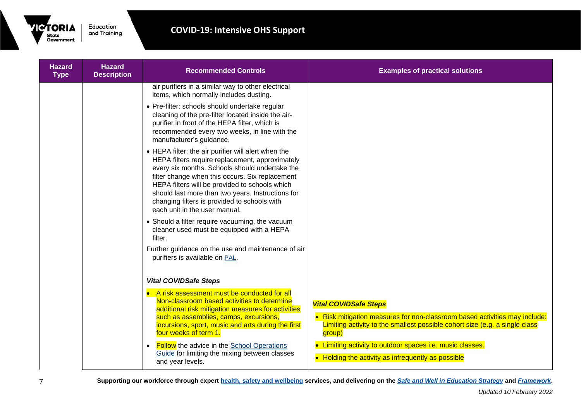

| <b>Hazard</b><br><b>Type</b> | <b>Hazard</b><br><b>Description</b> | <b>Recommended Controls</b>                                                                                                                                                                                                                                                                                                                                                                         | <b>Examples of practical solutions</b>                                                                                                                                                              |
|------------------------------|-------------------------------------|-----------------------------------------------------------------------------------------------------------------------------------------------------------------------------------------------------------------------------------------------------------------------------------------------------------------------------------------------------------------------------------------------------|-----------------------------------------------------------------------------------------------------------------------------------------------------------------------------------------------------|
|                              |                                     | air purifiers in a similar way to other electrical<br>items, which normally includes dusting.                                                                                                                                                                                                                                                                                                       |                                                                                                                                                                                                     |
|                              |                                     | • Pre-filter: schools should undertake regular<br>cleaning of the pre-filter located inside the air-<br>purifier in front of the HEPA filter, which is<br>recommended every two weeks, in line with the<br>manufacturer's guidance.                                                                                                                                                                 |                                                                                                                                                                                                     |
|                              |                                     | • HEPA filter: the air purifier will alert when the<br>HEPA filters require replacement, approximately<br>every six months. Schools should undertake the<br>filter change when this occurs. Six replacement<br>HEPA filters will be provided to schools which<br>should last more than two years. Instructions for<br>changing filters is provided to schools with<br>each unit in the user manual. |                                                                                                                                                                                                     |
|                              |                                     | • Should a filter require vacuuming, the vacuum<br>cleaner used must be equipped with a HEPA<br>filter.                                                                                                                                                                                                                                                                                             |                                                                                                                                                                                                     |
|                              |                                     | Further guidance on the use and maintenance of air<br>purifiers is available on PAL.                                                                                                                                                                                                                                                                                                                |                                                                                                                                                                                                     |
|                              |                                     | <b>Vital COVIDSafe Steps</b>                                                                                                                                                                                                                                                                                                                                                                        |                                                                                                                                                                                                     |
|                              |                                     | • A risk assessment must be conducted for all<br>Non-classroom based activities to determine<br>additional risk mitigation measures for activities<br>such as assemblies, camps, excursions,<br>incursions, sport, music and arts during the first<br>four weeks of term 1.                                                                                                                         | <b>Vital COVIDSafe Steps</b><br>• Risk mitigation measures for non-classroom based activities may include:<br>Limiting activity to the smallest possible cohort size (e.g. a single class<br>group) |
|                              |                                     | <b>Follow</b> the advice in the School Operations<br>$\bullet$<br>Guide for limiting the mixing between classes<br>and year levels.                                                                                                                                                                                                                                                                 | Limiting activity to outdoor spaces i.e. music classes.<br>• Holding the activity as infrequently as possible                                                                                       |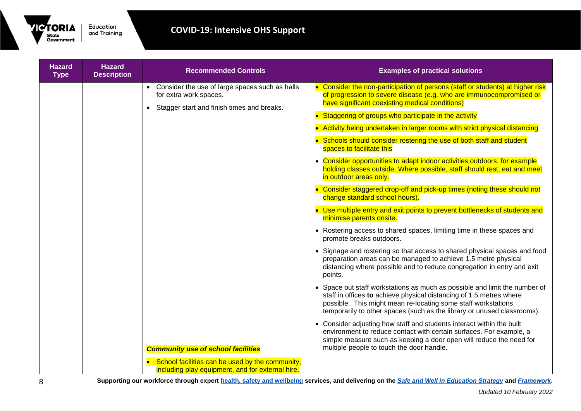

| <b>Hazard</b><br><b>Type</b> | <b>Hazard</b><br><b>Description</b> | <b>Recommended Controls</b>                                                                                                         | <b>Examples of practical solutions</b>                                                                                                                                                                                                                                                        |
|------------------------------|-------------------------------------|-------------------------------------------------------------------------------------------------------------------------------------|-----------------------------------------------------------------------------------------------------------------------------------------------------------------------------------------------------------------------------------------------------------------------------------------------|
|                              |                                     | Consider the use of large spaces such as halls<br>$\bullet$<br>for extra work spaces.<br>Stagger start and finish times and breaks. | • Consider the non-participation of persons (staff or students) at higher risk<br>of progression to severe disease (e.g. who are immunocompromised or<br>have significant coexisting medical conditions)                                                                                      |
|                              |                                     |                                                                                                                                     | • Staggering of groups who participate in the activity                                                                                                                                                                                                                                        |
|                              |                                     |                                                                                                                                     | • Activity being undertaken in larger rooms with strict physical distancing                                                                                                                                                                                                                   |
|                              |                                     |                                                                                                                                     | • Schools should consider rostering the use of both staff and student<br>spaces to facilitate this                                                                                                                                                                                            |
|                              |                                     |                                                                                                                                     | • Consider opportunities to adapt indoor activities outdoors, for example<br>holding classes outside. Where possible, staff should rest, eat and meet<br>in outdoor areas only.                                                                                                               |
|                              |                                     |                                                                                                                                     | • Consider staggered drop-off and pick-up times (noting these should not<br>change standard school hours).                                                                                                                                                                                    |
|                              |                                     |                                                                                                                                     | • Use multiple entry and exit points to prevent bottlenecks of students and<br>minimise parents onsite.                                                                                                                                                                                       |
|                              |                                     |                                                                                                                                     | • Rostering access to shared spaces, limiting time in these spaces and<br>promote breaks outdoors.                                                                                                                                                                                            |
|                              |                                     |                                                                                                                                     | • Signage and rostering so that access to shared physical spaces and food<br>preparation areas can be managed to achieve 1.5 metre physical<br>distancing where possible and to reduce congregation in entry and exit<br>points.                                                              |
|                              |                                     |                                                                                                                                     | • Space out staff workstations as much as possible and limit the number of<br>staff in offices to achieve physical distancing of 1.5 metres where<br>possible. This might mean re-locating some staff workstations<br>temporarily to other spaces (such as the library or unused classrooms). |
|                              |                                     | <b>Community use of school facilities</b>                                                                                           | • Consider adjusting how staff and students interact within the built<br>environment to reduce contact with certain surfaces. For example, a<br>simple measure such as keeping a door open will reduce the need for<br>multiple people to touch the door handle.                              |
|                              |                                     | School facilities can be used by the community,<br>including play equipment, and for external hire.                                 |                                                                                                                                                                                                                                                                                               |

**Supporting our workforce through expert [health, safety and wellbeing](https://www.education.vic.gov.au/hrweb/safetyhw/Pages/employeeservices.aspx?Redirect=5#link11) services, and delivering on the** *[Safe and Well in Education Strategy](https://www.education.vic.gov.au/hrweb/Documents/OHS/Safe%20and%20Well%20Education%20Strategy%202019-2024.pdf)* **and** *[Framework](https://www.education.vic.gov.au/hrweb/Documents/OHS/Safe%20and%20Well%20Education%20Framework%20V12.pdf)***.**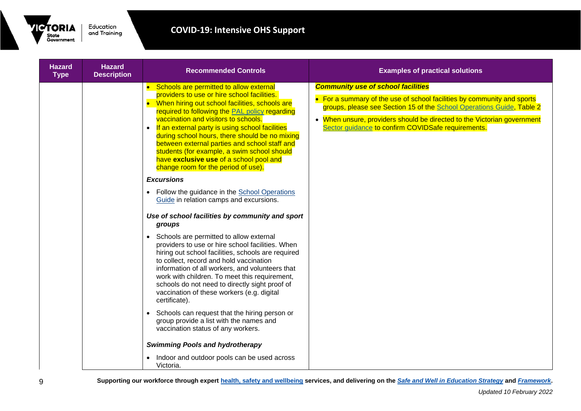

| • Schools are permitted to allow external                                                                                                                                                                                                                                                                                                                                                                                                                                                                                                                                                                                                                                                                                                                                                                                                                                                                                                                                                                                                                                                                                                               | <b>Community use of school facilities</b>                               |
|---------------------------------------------------------------------------------------------------------------------------------------------------------------------------------------------------------------------------------------------------------------------------------------------------------------------------------------------------------------------------------------------------------------------------------------------------------------------------------------------------------------------------------------------------------------------------------------------------------------------------------------------------------------------------------------------------------------------------------------------------------------------------------------------------------------------------------------------------------------------------------------------------------------------------------------------------------------------------------------------------------------------------------------------------------------------------------------------------------------------------------------------------------|-------------------------------------------------------------------------|
| providers to use or hire school facilities.                                                                                                                                                                                                                                                                                                                                                                                                                                                                                                                                                                                                                                                                                                                                                                                                                                                                                                                                                                                                                                                                                                             | • For a summary of the use of school facilities by community and sports |
| • When hiring out school facilities, schools are                                                                                                                                                                                                                                                                                                                                                                                                                                                                                                                                                                                                                                                                                                                                                                                                                                                                                                                                                                                                                                                                                                        | groups, please see Section 15 of the School Operations Guide, Table 2   |
| required to following the PAL policy regarding                                                                                                                                                                                                                                                                                                                                                                                                                                                                                                                                                                                                                                                                                                                                                                                                                                                                                                                                                                                                                                                                                                          | • When unsure, providers should be directed to the Victorian government |
| vaccination and visitors to schools.                                                                                                                                                                                                                                                                                                                                                                                                                                                                                                                                                                                                                                                                                                                                                                                                                                                                                                                                                                                                                                                                                                                    | Sector guidance to confirm COVIDSafe requirements.                      |
| If an external party is using school facilities<br>during school hours, there should be no mixing<br>between external parties and school staff and<br>students (for example, a swim school should<br>have exclusive use of a school pool and<br>change room for the period of use).<br><b>Excursions</b><br>Follow the guidance in the School Operations<br>$\bullet$<br>Guide in relation camps and excursions.<br>Use of school facilities by community and sport<br>groups<br>Schools are permitted to allow external<br>$\bullet$<br>providers to use or hire school facilities. When<br>hiring out school facilities, schools are required<br>to collect, record and hold vaccination<br>information of all workers, and volunteers that<br>work with children. To meet this requirement,<br>schools do not need to directly sight proof of<br>vaccination of these workers (e.g. digital<br>certificate).<br>Schools can request that the hiring person or<br>group provide a list with the names and<br>vaccination status of any workers.<br><b>Swimming Pools and hydrotherapy</b><br>Indoor and outdoor pools can be used across<br>Victoria. |                                                                         |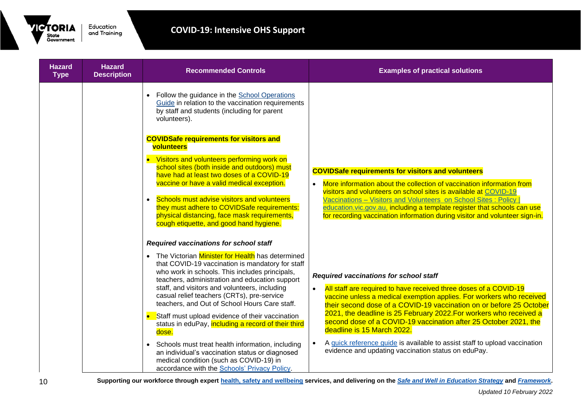

| <b>Hazard</b><br><b>Type</b> | <b>Hazard</b><br><b>Description</b> | <b>Recommended Controls</b>                                                                                                                                                                                                                                                                                                                                                                 | <b>Examples of practical solutions</b>                                                                                                                                                                                                                                                                                                                                                                                                 |
|------------------------------|-------------------------------------|---------------------------------------------------------------------------------------------------------------------------------------------------------------------------------------------------------------------------------------------------------------------------------------------------------------------------------------------------------------------------------------------|----------------------------------------------------------------------------------------------------------------------------------------------------------------------------------------------------------------------------------------------------------------------------------------------------------------------------------------------------------------------------------------------------------------------------------------|
|                              |                                     | Follow the guidance in the School Operations<br>$\bullet$<br>Guide in relation to the vaccination requirements<br>by staff and students (including for parent<br>volunteers).                                                                                                                                                                                                               |                                                                                                                                                                                                                                                                                                                                                                                                                                        |
|                              |                                     | <b>COVIDSafe requirements for visitors and</b><br>volunteers                                                                                                                                                                                                                                                                                                                                |                                                                                                                                                                                                                                                                                                                                                                                                                                        |
|                              |                                     | Visitors and volunteers performing work on<br>school sites (both inside and outdoors) must<br>have had at least two doses of a COVID-19<br>vaccine or have a valid medical exception.<br>Schools must advise visitors and volunteers<br>$\bullet$<br>they must adhere to COVIDSafe requirements:<br>physical distancing, face mask requirements,<br>cough etiquette, and good hand hygiene. | <b>COVIDSafe requirements for visitors and volunteers</b><br>More information about the collection of vaccination information from<br>visitors and volunteers on school sites is available at COVID-19<br>Vaccinations - Visitors and Volunteers on School Sites : Policy  <br>education.vic.gov.au, including a template register that schools can use<br>for recording vaccination information during visitor and volunteer sign-in. |
|                              |                                     | <b>Required vaccinations for school staff</b>                                                                                                                                                                                                                                                                                                                                               |                                                                                                                                                                                                                                                                                                                                                                                                                                        |
|                              |                                     | The Victorian Minister for Health has determined<br>that COVID-19 vaccination is mandatory for staff<br>who work in schools. This includes principals,<br>teachers, administration and education support<br>staff, and visitors and volunteers, including<br>casual relief teachers (CRTs), pre-service<br>teachers, and Out of School Hours Care staff.                                    | <b>Required vaccinations for school staff</b><br>All staff are required to have received three doses of a COVID-19<br>$\bullet$<br>vaccine unless a medical exemption applies. For workers who received<br>their second dose of a COVID-19 vaccination on or before 25 October                                                                                                                                                         |
|                              |                                     | Staff must upload evidence of their vaccination<br>status in eduPay, including a record of their third<br>dose.                                                                                                                                                                                                                                                                             | 2021, the deadline is 25 February 2022. For workers who received a<br>second dose of a COVID-19 vaccination after 25 October 2021, the<br>deadline is 15 March 2022.                                                                                                                                                                                                                                                                   |
|                              |                                     | Schools must treat health information, including<br>$\bullet$<br>an individual's vaccination status or diagnosed<br>medical condition (such as COVID-19) in<br>accordance with the Schools' Privacy Policy.                                                                                                                                                                                 | A quick reference guide is available to assist staff to upload vaccination<br>$\bullet$<br>evidence and updating vaccination status on eduPay.                                                                                                                                                                                                                                                                                         |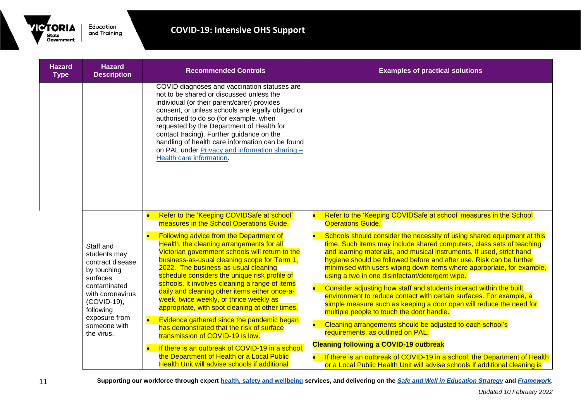

| <b>Hazard</b><br><b>Type</b> | <b>Hazard</b><br><b>Description</b>                                      | <b>Recommended Controls</b>                                                                                                                                                                                                                                                                                                                                                                                                                                        | <b>Examples of practical solutions</b>                                                                                                                                                                                                                                                                                                                                                                                                      |
|------------------------------|--------------------------------------------------------------------------|--------------------------------------------------------------------------------------------------------------------------------------------------------------------------------------------------------------------------------------------------------------------------------------------------------------------------------------------------------------------------------------------------------------------------------------------------------------------|---------------------------------------------------------------------------------------------------------------------------------------------------------------------------------------------------------------------------------------------------------------------------------------------------------------------------------------------------------------------------------------------------------------------------------------------|
|                              |                                                                          | COVID diagnoses and vaccination statuses are<br>not to be shared or discussed unless the<br>individual (or their parent/carer) provides<br>consent, or unless schools are legally obliged or<br>authorised to do so (for example, when<br>requested by the Department of Health for<br>contact tracing). Further guidance on the<br>handling of health care information can be found<br>on PAL under Privacy and information sharing -<br>Health care information. |                                                                                                                                                                                                                                                                                                                                                                                                                                             |
|                              |                                                                          | Refer to the 'Keeping COVIDSafe at school'<br>$\bullet$<br>measures in the School Operations Guide.                                                                                                                                                                                                                                                                                                                                                                | Refer to the 'Keeping COVIDSafe at school' measures in the School<br>$\bullet$<br><b>Operations Guide.</b>                                                                                                                                                                                                                                                                                                                                  |
|                              | Staff and<br>students may<br>contract disease<br>by touching<br>surfaces | Following advice from the Department of<br>Health, the cleaning arrangements for all<br>Victorian government schools will return to the<br>business-as-usual cleaning scope for Term 1,<br>2022. The business-as-usual cleaning<br>schedule considers the unique risk profile of                                                                                                                                                                                   | $\bullet$<br>Schools should consider the necessity of using shared equipment at this<br>time. Such items may include shared computers, class sets of teaching<br>and learning materials, and musical instruments. If used, strict hand<br>hygiene should be followed before and after use. Risk can be further<br>minimised with users wiping down items where appropriate, for example,<br>using a two in one disinfectant/detergent wipe. |
|                              | contaminated<br>with coronavirus<br>(COVID-19),<br>following             | schools. It involves cleaning a range of items<br>daily and cleaning other items either once-a-<br>week, twice weekly, or thrice weekly as<br>appropriate, with spot cleaning at other times.                                                                                                                                                                                                                                                                      | Consider adjusting how staff and students interact within the built<br>environment to reduce contact with certain surfaces. For example, a<br>simple measure such as keeping a door open will reduce the need for<br>multiple people to touch the door handle.                                                                                                                                                                              |
|                              | exposure from<br>someone with<br>the virus.                              | $\bullet$<br>Evidence gathered since the pandemic began<br>has demonstrated that the risk of surface<br>transmission of COVID-19 is low.                                                                                                                                                                                                                                                                                                                           | Cleaning arrangements should be adjusted to each school's<br>requirements, as outlined on PAL.                                                                                                                                                                                                                                                                                                                                              |
|                              |                                                                          | If there is an outbreak of COVID-19 in a school.                                                                                                                                                                                                                                                                                                                                                                                                                   | <b>Cleaning following a COVID-19 outbreak</b>                                                                                                                                                                                                                                                                                                                                                                                               |
|                              |                                                                          | the Department of Health or a Local Public<br><b>Health Unit will advise schools if additional</b>                                                                                                                                                                                                                                                                                                                                                                 | If there is an outbreak of COVID-19 in a school, the Department of Health<br>or a Local Public Health Unit will advise schools if additional cleaning is                                                                                                                                                                                                                                                                                    |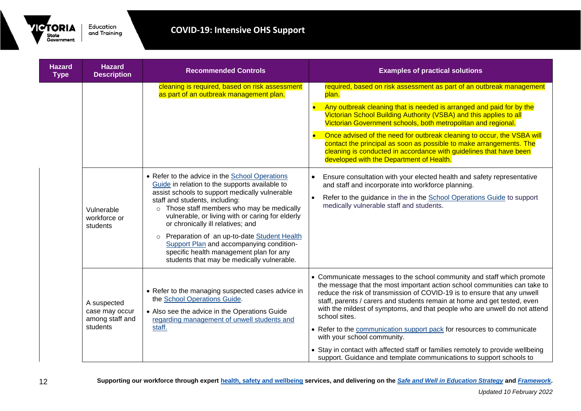

| <b>Hazard</b><br><b>Type</b> | <b>Hazard</b><br><b>Description</b>                          | <b>Recommended Controls</b>                                                                                                                                                                                                                                                                                                                                                                                                                                                                                                | <b>Examples of practical solutions</b>                                                                                                                                                                                                                                                                                                                                                                                                                                                                                                                                                                                                                                        |
|------------------------------|--------------------------------------------------------------|----------------------------------------------------------------------------------------------------------------------------------------------------------------------------------------------------------------------------------------------------------------------------------------------------------------------------------------------------------------------------------------------------------------------------------------------------------------------------------------------------------------------------|-------------------------------------------------------------------------------------------------------------------------------------------------------------------------------------------------------------------------------------------------------------------------------------------------------------------------------------------------------------------------------------------------------------------------------------------------------------------------------------------------------------------------------------------------------------------------------------------------------------------------------------------------------------------------------|
|                              |                                                              | cleaning is required, based on risk assessment<br>as part of an outbreak management plan.                                                                                                                                                                                                                                                                                                                                                                                                                                  | required, based on risk assessment as part of an outbreak management<br>plan.                                                                                                                                                                                                                                                                                                                                                                                                                                                                                                                                                                                                 |
|                              |                                                              |                                                                                                                                                                                                                                                                                                                                                                                                                                                                                                                            | $\bullet$<br>Any outbreak cleaning that is needed is arranged and paid for by the<br>Victorian School Building Authority (VSBA) and this applies to all<br>Victorian Government schools, both metropolitan and regional.                                                                                                                                                                                                                                                                                                                                                                                                                                                      |
|                              |                                                              |                                                                                                                                                                                                                                                                                                                                                                                                                                                                                                                            | Once advised of the need for outbreak cleaning to occur, the VSBA will<br>contact the principal as soon as possible to make arrangements. The<br>cleaning is conducted in accordance with guidelines that have been<br>developed with the Department of Health.                                                                                                                                                                                                                                                                                                                                                                                                               |
|                              | Vulnerable<br>workforce or<br>students                       | • Refer to the advice in the School Operations<br>Guide in relation to the supports available to<br>assist schools to support medically vulnerable<br>staff and students, including:<br>o Those staff members who may be medically<br>vulnerable, or living with or caring for elderly<br>or chronically ill relatives; and<br>Preparation of an up-to-date Student Health<br>$\circ$<br>Support Plan and accompanying condition-<br>specific health management plan for any<br>students that may be medically vulnerable. | Ensure consultation with your elected health and safety representative<br>and staff and incorporate into workforce planning.<br>Refer to the guidance in the in the School Operations Guide to support<br>medically vulnerable staff and students.                                                                                                                                                                                                                                                                                                                                                                                                                            |
|                              | A suspected<br>case may occur<br>among staff and<br>students | • Refer to the managing suspected cases advice in<br>the School Operations Guide.<br>• Also see the advice in the Operations Guide<br>regarding management of unwell students and<br>staff.                                                                                                                                                                                                                                                                                                                                | • Communicate messages to the school community and staff which promote<br>the message that the most important action school communities can take to<br>reduce the risk of transmission of COVID-19 is to ensure that any unwell<br>staff, parents / carers and students remain at home and get tested, even<br>with the mildest of symptoms, and that people who are unwell do not attend<br>school sites.<br>• Refer to the communication support pack for resources to communicate<br>with your school community.<br>• Stay in contact with affected staff or families remotely to provide wellbeing<br>support. Guidance and template communications to support schools to |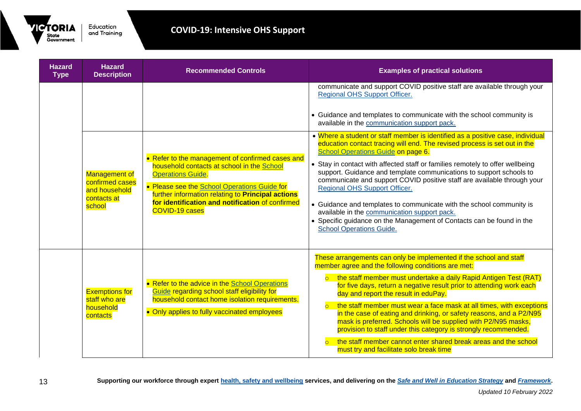

| <b>Hazard</b><br><b>Type</b> | <b>Hazard</b><br><b>Description</b>                                               | <b>Recommended Controls</b>                                                                                                                                                                                                                                                                                  | <b>Examples of practical solutions</b>                                                                                                                                                                                                                                                                                                                                                                                                                                                                                                                                                                                                                                                                         |
|------------------------------|-----------------------------------------------------------------------------------|--------------------------------------------------------------------------------------------------------------------------------------------------------------------------------------------------------------------------------------------------------------------------------------------------------------|----------------------------------------------------------------------------------------------------------------------------------------------------------------------------------------------------------------------------------------------------------------------------------------------------------------------------------------------------------------------------------------------------------------------------------------------------------------------------------------------------------------------------------------------------------------------------------------------------------------------------------------------------------------------------------------------------------------|
|                              |                                                                                   |                                                                                                                                                                                                                                                                                                              | communicate and support COVID positive staff are available through your<br>Regional OHS Support Officer.<br>• Guidance and templates to communicate with the school community is<br>available in the communication support pack.                                                                                                                                                                                                                                                                                                                                                                                                                                                                               |
|                              | <b>Management of</b><br>confirmed cases<br>and household<br>contacts at<br>school | • Refer to the management of confirmed cases and<br>household contacts at school in the School<br><b>Operations Guide.</b><br>• Please see the School Operations Guide for<br>further information relating to Principal actions<br>for identification and notification of confirmed<br><b>COVID-19 cases</b> | • Where a student or staff member is identified as a positive case, individual<br>education contact tracing will end. The revised process is set out in the<br>School Operations Guide on page 6.<br>• Stay in contact with affected staff or families remotely to offer wellbeing<br>support. Guidance and template communications to support schools to<br>communicate and support COVID positive staff are available through your<br>Regional OHS Support Officer.<br>• Guidance and templates to communicate with the school community is<br>available in the communication support pack.<br>• Specific guidance on the Management of Contacts can be found in the<br><b>School Operations Guide.</b>      |
|                              | <b>Exemptions for</b><br>staff who are<br>household<br>contacts                   | • Refer to the advice in the School Operations<br>Guide regarding school staff eligibility for<br>household contact home isolation requirements.<br>• Only applies to fully vaccinated employees                                                                                                             | These arrangements can only be implemented if the school and staff<br>member agree and the following conditions are met:<br>the staff member must undertake a daily Rapid Antigen Test (RAT)<br>for five days, return a negative result prior to attending work each<br>day and report the result in eduPay.<br>the staff member must wear a face mask at all times, with exceptions<br>in the case of eating and drinking, or safety reasons, and a P2/N95<br>mask is preferred. Schools will be supplied with P2/N95 masks,<br>provision to staff under this category is strongly recommended.<br>the staff member cannot enter shared break areas and the school<br>must try and facilitate solo break time |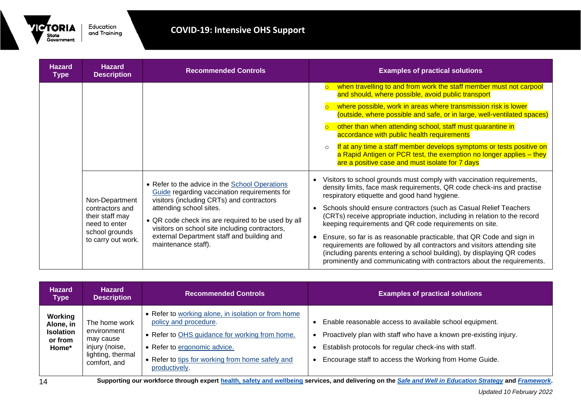

| <b>Hazard</b><br><b>Type</b> | <b>Hazard</b><br><b>Description</b>                                                                           | <b>Recommended Controls</b>                                                                                                                                                                                                                                                                                                                         | <b>Examples of practical solutions</b>                                                                                                                                                                                                                                                                                                                                                                                                                                                                                                                                                                                                                                                                               |
|------------------------------|---------------------------------------------------------------------------------------------------------------|-----------------------------------------------------------------------------------------------------------------------------------------------------------------------------------------------------------------------------------------------------------------------------------------------------------------------------------------------------|----------------------------------------------------------------------------------------------------------------------------------------------------------------------------------------------------------------------------------------------------------------------------------------------------------------------------------------------------------------------------------------------------------------------------------------------------------------------------------------------------------------------------------------------------------------------------------------------------------------------------------------------------------------------------------------------------------------------|
|                              |                                                                                                               | when travelling to and from work the staff member must not carpool<br>and should, where possible, avoid public transport<br>where possible, work in areas where transmission risk is lower<br>(outside, where possible and safe, or in large, well-ventilated spaces)                                                                               |                                                                                                                                                                                                                                                                                                                                                                                                                                                                                                                                                                                                                                                                                                                      |
|                              |                                                                                                               |                                                                                                                                                                                                                                                                                                                                                     | other than when attending school, staff must quarantine in<br>accordance with public health requirements<br>If at any time a staff member develops symptoms or tests positive on<br>a Rapid Antigen or PCR test, the exemption no longer applies - they<br>are a positive case and must isolate for 7 days                                                                                                                                                                                                                                                                                                                                                                                                           |
|                              | Non-Department<br>contractors and<br>their staff may<br>need to enter<br>school grounds<br>to carry out work. | • Refer to the advice in the School Operations<br>Guide regarding vaccination requirements for<br>visitors (including CRTs) and contractors<br>attending school sites.<br>• QR code check ins are required to be used by all<br>visitors on school site including contractors,<br>external Department staff and building and<br>maintenance staff). | Visitors to school grounds must comply with vaccination requirements,<br>density limits, face mask requirements, QR code check-ins and practise<br>respiratory etiquette and good hand hygiene.<br>Schools should ensure contractors (such as Casual Relief Teachers<br>(CRTs) receive appropriate induction, including in relation to the record<br>keeping requirements and QR code requirements on site.<br>Ensure, so far is as reasonable practicable, that QR Code and sign in<br>requirements are followed by all contractors and visitors attending site<br>(including parents entering a school building), by displaying QR codes<br>prominently and communicating with contractors about the requirements. |

| <b>Hazard</b><br>Type                                        | <b>Hazard</b><br><b>Description</b>                                                                                                                     | <b>Recommended Controls</b>                                                                                                                                                                                                         | <b>Examples of practical solutions</b>                                                                                                                                                                                                          |
|--------------------------------------------------------------|---------------------------------------------------------------------------------------------------------------------------------------------------------|-------------------------------------------------------------------------------------------------------------------------------------------------------------------------------------------------------------------------------------|-------------------------------------------------------------------------------------------------------------------------------------------------------------------------------------------------------------------------------------------------|
| Working<br>Alone, in<br><b>Isolation</b><br>or from<br>Home* | The home work<br>environment<br>may cause<br>injury (noise,<br>lighting, thermal<br>comfort, and                                                        | • Refer to working alone, in isolation or from home<br>policy and procedure.<br>• Refer to OHS guidance for working from home.<br>• Refer to ergonomic advice.<br>• Refer to tips for working from home safely and<br>productively. | Enable reasonable access to available school equipment.<br>Proactively plan with staff who have a known pre-existing injury.<br>Establish protocols for regular check-ins with staff.<br>Encourage staff to access the Working from Home Guide. |
| 14                                                           | Supporting our workforce through expert health, safety and wellbeing services, and delivering on the Safe and Well in Education Strategy and Framework. |                                                                                                                                                                                                                                     |                                                                                                                                                                                                                                                 |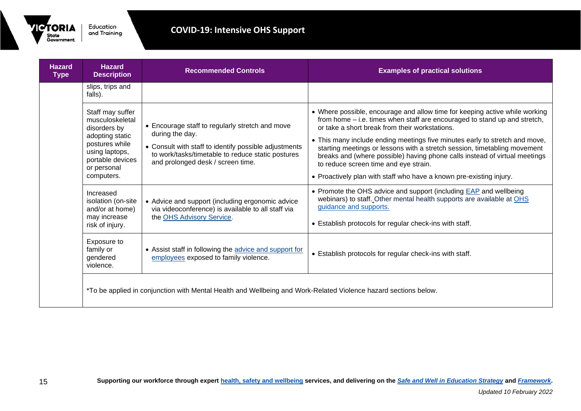

| <b>Hazard</b><br><b>Type</b> | <b>Hazard</b><br><b>Description</b>                                                                                                                         | <b>Recommended Controls</b>                                                                                                                                                                                           | <b>Examples of practical solutions</b>                                                                                                                                                                                                                                                                                                                                                                                                                                                                                                                               |
|------------------------------|-------------------------------------------------------------------------------------------------------------------------------------------------------------|-----------------------------------------------------------------------------------------------------------------------------------------------------------------------------------------------------------------------|----------------------------------------------------------------------------------------------------------------------------------------------------------------------------------------------------------------------------------------------------------------------------------------------------------------------------------------------------------------------------------------------------------------------------------------------------------------------------------------------------------------------------------------------------------------------|
|                              | slips, trips and<br>falls).                                                                                                                                 |                                                                                                                                                                                                                       |                                                                                                                                                                                                                                                                                                                                                                                                                                                                                                                                                                      |
|                              | Staff may suffer<br>musculoskeletal<br>disorders by<br>adopting static<br>postures while<br>using laptops,<br>portable devices<br>or personal<br>computers. | • Encourage staff to regularly stretch and move<br>during the day.<br>• Consult with staff to identify possible adjustments<br>to work/tasks/timetable to reduce static postures<br>and prolonged desk / screen time. | • Where possible, encourage and allow time for keeping active while working<br>from home – i.e. times when staff are encouraged to stand up and stretch,<br>or take a short break from their workstations.<br>• This many include ending meetings five minutes early to stretch and move,<br>starting meetings or lessons with a stretch session, timetabling movement<br>breaks and (where possible) having phone calls instead of virtual meetings<br>to reduce screen time and eye strain.<br>• Proactively plan with staff who have a known pre-existing injury. |
|                              | Increased<br>isolation (on-site<br>and/or at home)<br>may increase<br>risk of injury.                                                                       | • Advice and support (including ergonomic advice<br>via videoconference) is available to all staff via<br>the OHS Advisory Service.                                                                                   | • Promote the OHS advice and support (including <b>EAP</b> and wellbeing<br>webinars) to staff. Other mental health supports are available at OHS<br>guidance and supports.<br>• Establish protocols for regular check-ins with staff.                                                                                                                                                                                                                                                                                                                               |
|                              | Exposure to<br>family or<br>gendered<br>violence.                                                                                                           | • Assist staff in following the advice and support for<br>employees exposed to family violence.                                                                                                                       | • Establish protocols for regular check-ins with staff.                                                                                                                                                                                                                                                                                                                                                                                                                                                                                                              |
|                              |                                                                                                                                                             | *To be applied in conjunction with Mental Health and Wellbeing and Work-Related Violence hazard sections below.                                                                                                       |                                                                                                                                                                                                                                                                                                                                                                                                                                                                                                                                                                      |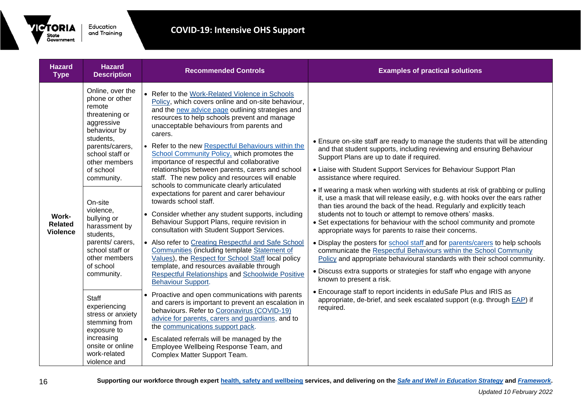

| <b>Hazard</b><br><b>Type</b>               | <b>Hazard</b><br><b>Description</b>                                                                                                                                                                                                                                                                                                                 | <b>Recommended Controls</b>                                                                                                                                                                                                                                                                                                                                                                                                                                                                                                                                                                                                                                                                                                                                                                                                                                                                                                                                                                                                                                                                              | <b>Examples of practical solutions</b>                                                                                                                                                                                                                                                                                                                                                                                                                                                                                                                                                                                                                                                                                                                                                                                                                                                                                                                                                                                                                                                       |
|--------------------------------------------|-----------------------------------------------------------------------------------------------------------------------------------------------------------------------------------------------------------------------------------------------------------------------------------------------------------------------------------------------------|----------------------------------------------------------------------------------------------------------------------------------------------------------------------------------------------------------------------------------------------------------------------------------------------------------------------------------------------------------------------------------------------------------------------------------------------------------------------------------------------------------------------------------------------------------------------------------------------------------------------------------------------------------------------------------------------------------------------------------------------------------------------------------------------------------------------------------------------------------------------------------------------------------------------------------------------------------------------------------------------------------------------------------------------------------------------------------------------------------|----------------------------------------------------------------------------------------------------------------------------------------------------------------------------------------------------------------------------------------------------------------------------------------------------------------------------------------------------------------------------------------------------------------------------------------------------------------------------------------------------------------------------------------------------------------------------------------------------------------------------------------------------------------------------------------------------------------------------------------------------------------------------------------------------------------------------------------------------------------------------------------------------------------------------------------------------------------------------------------------------------------------------------------------------------------------------------------------|
| Work-<br><b>Related</b><br><b>Violence</b> | Online, over the<br>phone or other<br>remote<br>threatening or<br>aggressive<br>behaviour by<br>students,<br>parents/carers,<br>school staff or<br>other members<br>of school<br>community.<br>On-site<br>violence,<br>bullying or<br>harassment by<br>students,<br>parents/ carers,<br>school staff or<br>other members<br>of school<br>community. | • Refer to the Work-Related Violence in Schools<br>Policy, which covers online and on-site behaviour,<br>and the new advice page outlining strategies and<br>resources to help schools prevent and manage<br>unacceptable behaviours from parents and<br>carers.<br>• Refer to the new Respectful Behaviours within the<br>School Community Policy, which promotes the<br>importance of respectful and collaborative<br>relationships between parents, carers and school<br>staff. The new policy and resources will enable<br>schools to communicate clearly articulated<br>expectations for parent and carer behaviour<br>towards school staff.<br>• Consider whether any student supports, including<br>Behaviour Support Plans, require revision in<br>consultation with Student Support Services.<br>• Also refer to Creating Respectful and Safe School<br>Communities (including template Statement of<br>Values), the Respect for School Staff local policy<br>template, and resources available through<br><b>Respectful Relationships and Schoolwide Positive</b><br><b>Behaviour Support.</b> | • Ensure on-site staff are ready to manage the students that will be attending<br>and that student supports, including reviewing and ensuring Behaviour<br>Support Plans are up to date if required.<br>• Liaise with Student Support Services for Behaviour Support Plan<br>assistance where required.<br>• If wearing a mask when working with students at risk of grabbing or pulling<br>it, use a mask that will release easily, e.g. with hooks over the ears rather<br>than ties around the back of the head. Regularly and explicitly teach<br>students not to touch or attempt to remove others' masks.<br>• Set expectations for behaviour with the school community and promote<br>appropriate ways for parents to raise their concerns.<br>. Display the posters for school staff and for parents/carers to help schools<br>communicate the Respectful Behaviours within the School Community<br>Policy and appropriate behavioural standards with their school community.<br>• Discuss extra supports or strategies for staff who engage with anyone<br>known to present a risk. |
|                                            | Staff<br>experiencing<br>stress or anxiety<br>stemming from<br>exposure to<br>increasing<br>onsite or online<br>work-related<br>violence and                                                                                                                                                                                                        | • Proactive and open communications with parents<br>and carers is important to prevent an escalation in<br>behaviours. Refer to Coronavirus (COVID-19)<br>advice for parents, carers and guardians, and to<br>the communications support pack.<br>• Escalated referrals will be managed by the<br>Employee Wellbeing Response Team, and<br>Complex Matter Support Team.                                                                                                                                                                                                                                                                                                                                                                                                                                                                                                                                                                                                                                                                                                                                  | • Encourage staff to report incidents in eduSafe Plus and IRIS as<br>appropriate, de-brief, and seek escalated support (e.g. through EAP) if<br>required.                                                                                                                                                                                                                                                                                                                                                                                                                                                                                                                                                                                                                                                                                                                                                                                                                                                                                                                                    |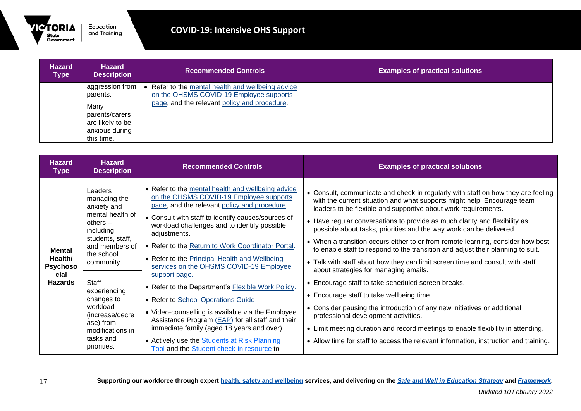

| <b>Hazard</b><br>Type | <b>Hazard</b><br><b>Description</b>                                                                       | <b>Recommended Controls</b>                                                                                                                | <b>Examples of practical solutions</b> |
|-----------------------|-----------------------------------------------------------------------------------------------------------|--------------------------------------------------------------------------------------------------------------------------------------------|----------------------------------------|
|                       | aggression from<br>parents.<br>Many<br>parents/carers<br>are likely to be<br>anxious during<br>this time. | Refer to the mental health and wellbeing advice<br>on the OHSMS COVID-19 Employee supports<br>page, and the relevant policy and procedure. |                                        |

| <b>Hazard</b><br><b>Type</b>                                          | <b>Hazard</b><br><b>Description</b>                                                                                                                                                                                                                                                                | <b>Recommended Controls</b>                                                                                                                                                                                                                                                                                                                                                                                                                                                                                                                                                                                                                                                                                                                                                                | <b>Examples of practical solutions</b>                                                                                                                                                                                                                                                                                                                                                                                                                                                                                                                                                                                                                                                                                                                                                                                                                                                                                                                                                                                                                                                |
|-----------------------------------------------------------------------|----------------------------------------------------------------------------------------------------------------------------------------------------------------------------------------------------------------------------------------------------------------------------------------------------|--------------------------------------------------------------------------------------------------------------------------------------------------------------------------------------------------------------------------------------------------------------------------------------------------------------------------------------------------------------------------------------------------------------------------------------------------------------------------------------------------------------------------------------------------------------------------------------------------------------------------------------------------------------------------------------------------------------------------------------------------------------------------------------------|---------------------------------------------------------------------------------------------------------------------------------------------------------------------------------------------------------------------------------------------------------------------------------------------------------------------------------------------------------------------------------------------------------------------------------------------------------------------------------------------------------------------------------------------------------------------------------------------------------------------------------------------------------------------------------------------------------------------------------------------------------------------------------------------------------------------------------------------------------------------------------------------------------------------------------------------------------------------------------------------------------------------------------------------------------------------------------------|
| <b>Mental</b><br>Health/<br><b>Psychoso</b><br>cial<br><b>Hazards</b> | <b>Leaders</b><br>managing the<br>anxiety and<br>mental health of<br>others $-$<br>including<br>students, staff,<br>and members of<br>the school<br>community.<br>Staff<br>experiencing<br>changes to<br>workload<br>(increase/decre)<br>ase) from<br>modifications in<br>tasks and<br>priorities. | • Refer to the mental health and wellbeing advice<br>on the OHSMS COVID-19 Employee supports<br>page, and the relevant policy and procedure.<br>• Consult with staff to identify causes/sources of<br>workload challenges and to identify possible<br>adjustments.<br>• Refer to the Return to Work Coordinator Portal.<br>• Refer to the Principal Health and Wellbeing<br>services on the OHSMS COVID-19 Employee<br>support page.<br>• Refer to the Department's Flexible Work Policy.<br>• Refer to School Operations Guide<br>• Video-counselling is available via the Employee<br>Assistance Program (EAP) for all staff and their<br>immediate family (aged 18 years and over).<br>• Actively use the <b>Students at Risk Planning</b><br>Tool and the Student check-in resource to | • Consult, communicate and check-in regularly with staff on how they are feeling<br>with the current situation and what supports might help. Encourage team<br>leaders to be flexible and supportive about work requirements.<br>• Have regular conversations to provide as much clarity and flexibility as<br>possible about tasks, priorities and the way work can be delivered.<br>• When a transition occurs either to or from remote learning, consider how best<br>to enable staff to respond to the transition and adjust their planning to suit.<br>• Talk with staff about how they can limit screen time and consult with staff<br>about strategies for managing emails.<br>• Encourage staff to take scheduled screen breaks.<br>• Encourage staff to take wellbeing time.<br>• Consider pausing the introduction of any new initiatives or additional<br>professional development activities.<br>• Limit meeting duration and record meetings to enable flexibility in attending.<br>• Allow time for staff to access the relevant information, instruction and training. |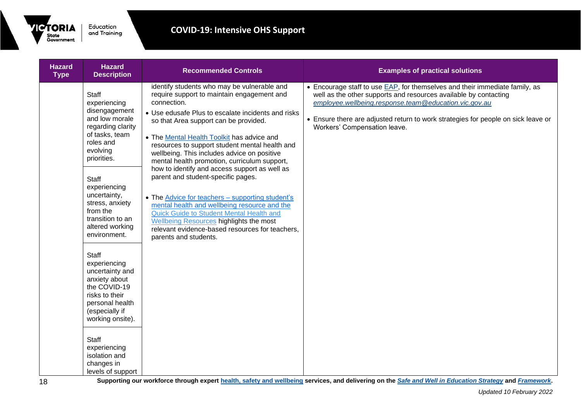

| <b>Hazard</b><br><b>Type</b> | <b>Hazard</b><br><b>Description</b>                                                                                                                                                                                                                                                                                                                                                                                                                                                                         | <b>Recommended Controls</b>                                                                                                                                                                                                                                                                                                                                                                                                                                                                                                                                                                                                                                                                                                                                                        | <b>Examples of practical solutions</b>                                                                                                                                                                                                                                                                                        |
|------------------------------|-------------------------------------------------------------------------------------------------------------------------------------------------------------------------------------------------------------------------------------------------------------------------------------------------------------------------------------------------------------------------------------------------------------------------------------------------------------------------------------------------------------|------------------------------------------------------------------------------------------------------------------------------------------------------------------------------------------------------------------------------------------------------------------------------------------------------------------------------------------------------------------------------------------------------------------------------------------------------------------------------------------------------------------------------------------------------------------------------------------------------------------------------------------------------------------------------------------------------------------------------------------------------------------------------------|-------------------------------------------------------------------------------------------------------------------------------------------------------------------------------------------------------------------------------------------------------------------------------------------------------------------------------|
|                              | Staff<br>experiencing<br>disengagement<br>and low morale<br>regarding clarity<br>of tasks, team<br>roles and<br>evolving<br>priorities.<br>Staff<br>experiencing<br>uncertainty,<br>stress, anxiety<br>from the<br>transition to an<br>altered working<br>environment.<br>Staff<br>experiencing<br>uncertainty and<br>anxiety about<br>the COVID-19<br>risks to their<br>personal health<br>(especially if<br>working onsite).<br>Staff<br>experiencing<br>isolation and<br>changes in<br>levels of support | identify students who may be vulnerable and<br>require support to maintain engagement and<br>connection.<br>• Use edusafe Plus to escalate incidents and risks<br>so that Area support can be provided.<br>• The Mental Health Toolkit has advice and<br>resources to support student mental health and<br>wellbeing. This includes advice on positive<br>mental health promotion, curriculum support,<br>how to identify and access support as well as<br>parent and student-specific pages.<br>• The Advice for teachers - supporting student's<br>mental health and wellbeing resource and the<br><b>Quick Guide to Student Mental Health and</b><br><b>Wellbeing Resources highlights the most</b><br>relevant evidence-based resources for teachers,<br>parents and students. | • Encourage staff to use EAP, for themselves and their immediate family, as<br>well as the other supports and resources available by contacting<br>employee.wellbeing.response.team@education.vic.gov.au<br>• Ensure there are adjusted return to work strategies for people on sick leave or<br>Workers' Compensation leave. |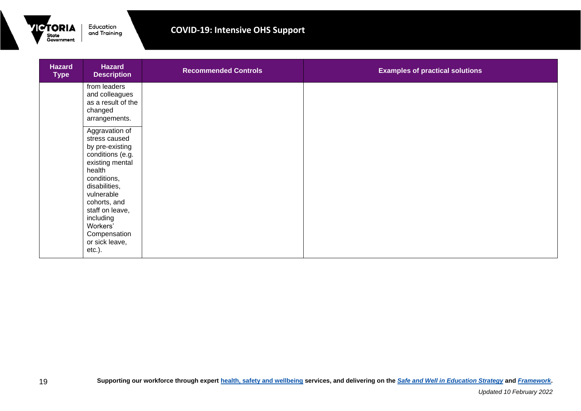

| <b>Hazard</b><br><b>Type</b> | <b>Hazard</b><br><b>Description</b>                                                                                                                                                                                                                       | <b>Recommended Controls</b> | <b>Examples of practical solutions</b> |
|------------------------------|-----------------------------------------------------------------------------------------------------------------------------------------------------------------------------------------------------------------------------------------------------------|-----------------------------|----------------------------------------|
|                              | from leaders<br>and colleagues<br>as a result of the<br>changed<br>arrangements.                                                                                                                                                                          |                             |                                        |
|                              | Aggravation of<br>stress caused<br>by pre-existing<br>conditions (e.g.<br>existing mental<br>health<br>conditions,<br>disabilities,<br>vulnerable<br>cohorts, and<br>staff on leave,<br>including<br>Workers'<br>Compensation<br>or sick leave,<br>etc.). |                             |                                        |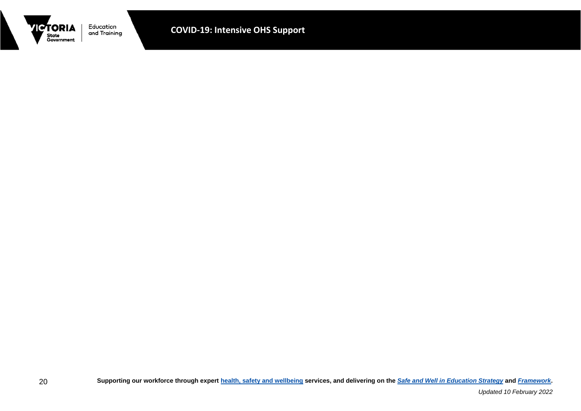